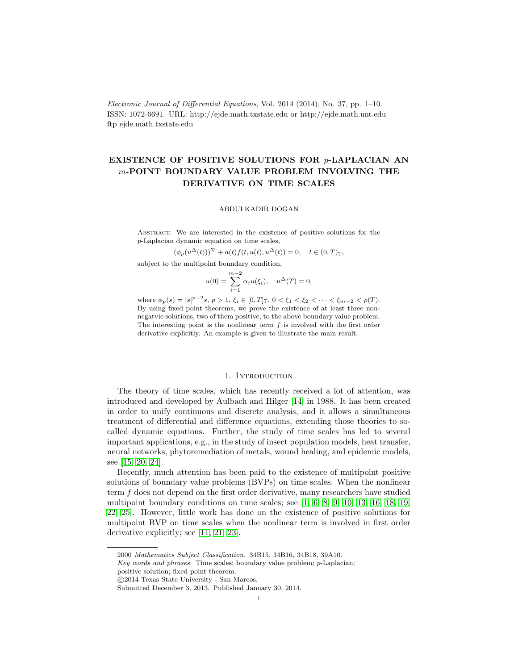Electronic Journal of Differential Equations, Vol. 2014 (2014), No. 37, pp. 1–10. ISSN: 1072-6691. URL: http://ejde.math.txstate.edu or http://ejde.math.unt.edu ftp ejde.math.txstate.edu

# EXISTENCE OF POSITIVE SOLUTIONS FOR  $p$ -LAPLACIAN AN m-POINT BOUNDARY VALUE PROBLEM INVOLVING THE DERIVATIVE ON TIME SCALES

#### ABDULKADIR DOGAN

ABSTRACT. We are interested in the existence of positive solutions for the p-Laplacian dynamic equation on time scales,

$$
(\phi_p(u^{\Delta}(t)))^{\nabla} + a(t)f(t, u(t), u^{\Delta}(t)) = 0, \quad t \in (0, T)_{\mathbb{T}},
$$

subject to the multipoint boundary condition,

$$
u(0) = \sum_{i=1}^{m-2} \alpha_i u(\xi_i), \quad u^{\Delta}(T) = 0,
$$

where  $\phi_p(s) = |s|^{p-2} s, p > 1, \xi_i \in [0, T]_{\mathbb{T}}, 0 < \xi_1 < \xi_2 < \cdots < \xi_{m-2} < \rho(T)$ . By using fixed point theorems, we prove the existence of at least three nonnegatvie solutions, two of them positive, to the above boundary value problem. The interesting point is the nonlinear term  $f$  is involved with the first order derivative explicitly. An example is given to illustrate the main result.

## 1. INTRODUCTION

The theory of time scales, which has recently received a lot of attention, was introduced and developed by Aulbach and Hilger [\[14\]](#page-8-0) in 1988. It has been created in order to unify continuous and discrete analysis, and it allows a simultaneous treatment of differential and difference equations, extending those theories to socalled dynamic equations. Further, the study of time scales has led to several important applications, e.g., in the study of insect population models, heat transfer, neural networks, phytoremediation of metals, wound healing, and epidemic models, see [\[15,](#page-9-0) [20,](#page-9-1) [24\]](#page-9-2).

Recently, much attention has been paid to the existence of multipoint positive solutions of boundary value problems (BVPs) on time scales. When the nonlinear term f does not depend on the first order derivative, many researchers have studied multipoint boundary conditions on time scales; see [\[1,](#page-8-1) [6,](#page-8-2) [8,](#page-8-3) [9,](#page-8-4) [10,](#page-8-5) [13,](#page-8-6) [16,](#page-9-3) [18,](#page-9-4) [19,](#page-9-5) [22,](#page-9-6) [25\]](#page-9-7). However, little work has done on the existence of positive solutions for multipoint BVP on time scales when the nonlinear term is involved in first order derivative explicitly; see [\[11,](#page-8-7) [21,](#page-9-8) [23\]](#page-9-9).

<sup>2000</sup> Mathematics Subject Classification. 34B15, 34B16, 34B18, 39A10.

Key words and phrases. Time scales; boundary value problem; p-Laplacian;

positive solution; fixed point theorem.

c 2014 Texas State University - San Marcos.

Submitted December 3, 2013. Published January 30, 2014.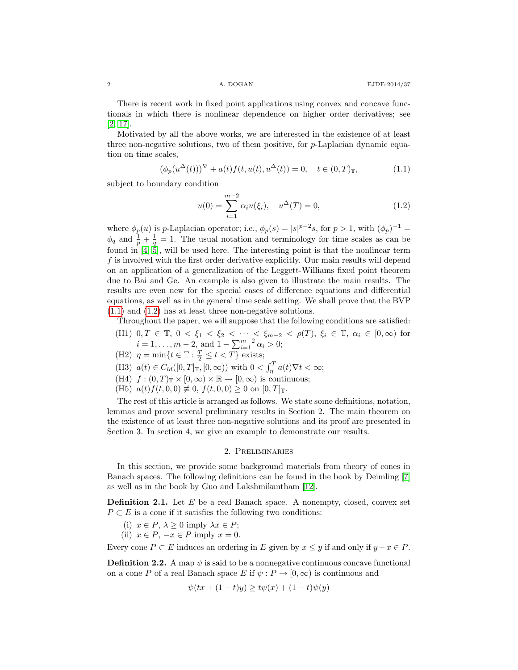There is recent work in fixed point applications using convex and concave functionals in which there is nonlinear dependence on higher order derivatives; see [\[2,](#page-8-8) [17\]](#page-9-10).

Motivated by all the above works, we are interested in the existence of at least three non-negative solutions, two of them positive, for  $p$ -Laplacian dynamic equation on time scales,

<span id="page-1-0"></span>
$$
(\phi_p(u^{\Delta}(t)))^{\nabla} + a(t)f(t, u(t), u^{\Delta}(t)) = 0, \quad t \in (0, T)_{\mathbb{T}},
$$
\n(1.1)

subject to boundary condition

<span id="page-1-1"></span>
$$
u(0) = \sum_{i=1}^{m-2} \alpha_i u(\xi_i), \quad u^{\Delta}(T) = 0,
$$
\n(1.2)

where  $\phi_p(u)$  is p-Laplacian operator; i.e.,  $\phi_p(s) = |s|^{p-2}s$ , for  $p > 1$ , with  $(\phi_p)^{-1} =$  $\phi_q$  and  $\frac{1}{p} + \frac{1}{q} = 1$ . The usual notation and terminology for time scales as can be found in  $[4, 5]$  $[4, 5]$ , will be used here. The interesting point is that the nonlinear term f is involved with the first order derivative explicitly. Our main results will depend on an application of a generalization of the Leggett-Williams fixed point theorem due to Bai and Ge. An example is also given to illustrate the main results. The results are even new for the special cases of difference equations and differential equations, as well as in the general time scale setting. We shall prove that the BVP [\(1.1\)](#page-1-0) and [\(1.2\)](#page-1-1) has at least three non-negative solutions.

Throughout the paper, we will suppose that the following conditions are satisfied:

- (H1)  $0, T \in \mathbb{T}, 0 < \xi_1 < \xi_2 < \cdots < \xi_{m-2} < \rho(T), \xi_i \in \mathbb{T}, \alpha_i \in [0, \infty)$  for  $i = 1, \ldots, m - 2$ , and  $1 - \sum_{i=1}^{m-2} \alpha_i > 0$ ;
- (H2)  $\eta = \min\{t \in \mathbb{T} : \frac{T}{2} \le t < T\}$  exists;
- (H3)  $a(t) \in C_{ld}([0,T]_{\mathbb{T}}, [0,\infty))$  with  $0 < \int_{\eta}^{T} a(t) \nabla t < \infty$ ;
- (H4)  $f:(0,T)_\mathbb{T}\times[0,\infty)\times\mathbb{R}\to[0,\infty)$  is continuous;
- (H5)  $a(t) f(t, 0, 0) \neq 0$ ,  $f(t, 0, 0) \geq 0$  on  $[0, T]$ <sub>T</sub>.

The rest of this article is arranged as follows. We state some definitions, notation, lemmas and prove several preliminary results in Section 2. The main theorem on the existence of at least three non-negative solutions and its proof are presented in Section 3. In section 4, we give an example to demonstrate our results.

## 2. Preliminaries

In this section, we provide some background materials from theory of cones in Banach spaces. The following definitions can be found in the book by Deimling [\[7\]](#page-8-11) as well as in the book by Guo and Lakshmikantham [\[12\]](#page-8-12).

**Definition 2.1.** Let  $E$  be a real Banach space. A nonempty, closed, convex set  $P \subset E$  is a cone if it satisfies the following two conditions:

- (i)  $x \in P$ ,  $\lambda \geq 0$  imply  $\lambda x \in P$ ;
- (ii)  $x \in P$ ,  $-x \in P$  imply  $x = 0$ .

Every cone  $P \subset E$  induces an ordering in E given by  $x \leq y$  if and only if  $y - x \in P$ .

**Definition 2.2.** A map  $\psi$  is said to be a nonnegative continuous concave functional on a cone P of a real Banach space E if  $\psi : P \to [0, \infty)$  is continuous and

$$
\psi(tx + (1 - t)y) \ge t\psi(x) + (1 - t)\psi(y)
$$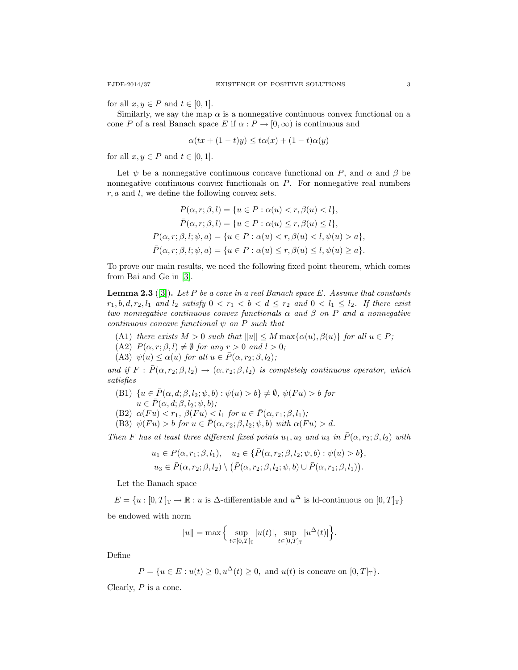for all  $x, y \in P$  and  $t \in [0, 1]$ .

Similarly, we say the map  $\alpha$  is a nonnegative continuous convex functional on a cone P of a real Banach space E if  $\alpha : P \to [0, \infty)$  is continuous and

$$
\alpha(tx + (1-t)y) \le t\alpha(x) + (1-t)\alpha(y)
$$

for all  $x, y \in P$  and  $t \in [0, 1]$ .

Let  $\psi$  be a nonnegative continuous concave functional on P, and  $\alpha$  and  $\beta$  be nonnegative continuous convex functionals on  $P$ . For nonnegative real numbers  $r, a$  and  $l$ , we define the following convex sets.

$$
P(\alpha, r; \beta, l) = \{u \in P : \alpha(u) < r, \beta(u) < l\},
$$
\n
$$
\bar{P}(\alpha, r; \beta, l) = \{u \in P : \alpha(u) \le r, \beta(u) \le l\},
$$
\n
$$
P(\alpha, r; \beta, l; \psi, a) = \{u \in P : \alpha(u) < r, \beta(u) < l, \psi(u) > a\},
$$
\n
$$
\bar{P}(\alpha, r; \beta, l; \psi, a) = \{u \in P : \alpha(u) \le r, \beta(u) \le l, \psi(u) \ge a\}.
$$

To prove our main results, we need the following fixed point theorem, which comes from Bai and Ge in [\[3\]](#page-8-13).

<span id="page-2-1"></span>**Lemma 2.3** ([\[3\]](#page-8-13)). Let P be a cone in a real Banach space E. Assume that constants  $r_1, b, d, r_2, l_1$  and  $l_2$  satisfy  $0 < r_1 < b < d \leq r_2$  and  $0 < l_1 \leq l_2$ . If there exist two nonnegative continuous convex functionals  $\alpha$  and  $\beta$  on P and a nonnegative continuous concave functional  $\psi$  on P such that

- (A1) there exists  $M > 0$  such that  $||u|| \leq M \max{\{\alpha(u), \beta(u)\}}$  for all  $u \in P$ ;
- (A2)  $P(\alpha, r; \beta, l) \neq \emptyset$  for any  $r > 0$  and  $l > 0$ ;
- (A3)  $\psi(u) \leq \alpha(u)$  for all  $u \in \overline{P}(\alpha, r_2; \beta, l_2);$

and if  $F : \overline{P}(\alpha, r_2; \beta, l_2) \rightarrow (\alpha, r_2; \beta, l_2)$  is completely continuous operator, which satisfies

- (B1)  $\{u \in \overline{P}(\alpha, d; \beta, l_2; \psi, b) : \psi(u) > b\} \neq \emptyset$ ,  $\psi(Fu) > b$  for  $u \in \bar{P}(\alpha, d; \beta, l_2; \psi, b);$
- (B2)  $\alpha(Fu) < r_1$ ,  $\beta(Fu) < l_1$  for  $u \in \overline{P}(\alpha, r_1; \beta, l_1)$ ;
- (B3)  $\psi(Fu) > b$  for  $u \in \overline{P}(\alpha, r_2; \beta, l_2; \psi, b)$  with  $\alpha(Fu) > d$ .

Then F has at least three different fixed points  $u_1, u_2$  and  $u_3$  in  $\bar{P}(\alpha, r_2; \beta, l_2)$  with

$$
u_1 \in P(\alpha, r_1; \beta, l_1), \quad u_2 \in \{\overline{P}(\alpha, r_2; \beta, l_2; \psi, b) : \psi(u) > b\},
$$
  

$$
u_3 \in \overline{P}(\alpha, r_2; \beta, l_2) \setminus (\overline{P}(\alpha, r_2; \beta, l_2; \psi, b) \cup \overline{P}(\alpha, r_1; \beta, l_1)).
$$

Let the Banach space

 $E = \{u : [0, T]_{\mathbb{T}} \to \mathbb{R} : u \text{ is } \Delta\text{-differential} \text{ is } \text{ad } u^{\Delta} \text{ is } \text{Id-continuous on } [0, T]_{\mathbb{T}} \}$ 

be endowed with norm

$$
||u|| = \max \Big\{ \sup_{t \in [0,T]_{\mathbb{T}}} |u(t)|, \sup_{t \in [0,T]_{\mathbb{T}}} |u^{\Delta}(t)| \Big\}.
$$

Define

$$
P = \{ u \in E : u(t) \ge 0, u^{\Delta}(t) \ge 0, \text{ and } u(t) \text{ is concave on } [0, T]_{\mathbb{T}} \}.
$$

<span id="page-2-0"></span>Clearly, P is a cone.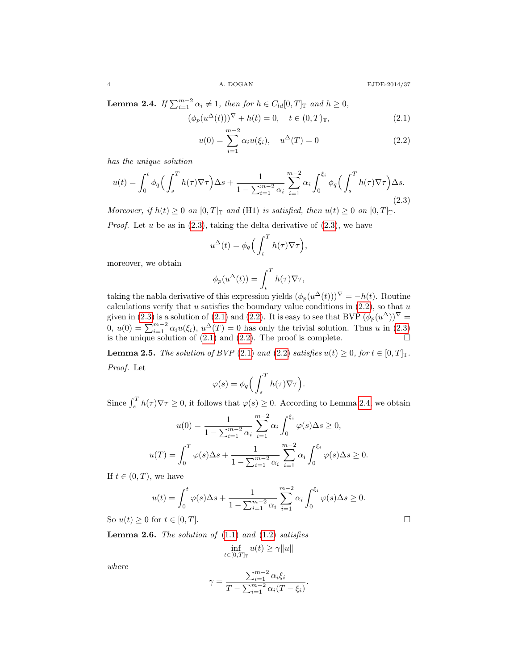**Lemma 2.4.** If  $\sum_{i=1}^{m-2} \alpha_i \neq 1$ , then for  $h \in C_{ld}[0,T]_{\mathbb{T}}$  and  $h \geq 0$ ,

$$
(\phi_p(u^{\Delta}(t)))^{\nabla} + h(t) = 0, \quad t \in (0, T)_{\mathbb{T}},
$$
\n(2.1)

<span id="page-3-2"></span><span id="page-3-1"></span>
$$
u(0) = \sum_{i=1}^{m-2} \alpha_i u(\xi_i), \quad u^{\Delta}(T) = 0
$$
\n(2.2)

has the unique solution

<span id="page-3-0"></span>
$$
u(t) = \int_0^t \phi_q\left(\int_s^T h(\tau)\nabla\tau\right)\Delta s + \frac{1}{1 - \sum_{i=1}^{m-2} \alpha_i} \sum_{i=1}^{m-2} \alpha_i \int_0^{\xi_i} \phi_q\left(\int_s^T h(\tau)\nabla\tau\right)\Delta s.
$$
\n(2.3)

Moreover, if  $h(t) \geq 0$  on  $[0, T]_{\mathbb{T}}$  and (H1) is satisfied, then  $u(t) \geq 0$  on  $[0, T]_{\mathbb{T}}$ . *Proof.* Let u be as in  $(2.3)$ , taking the delta derivative of  $(2.3)$ , we have

$$
u^{\Delta}(t) = \phi_q \Big( \int_t^T h(\tau) \nabla \tau \Big),
$$

moreover, we obtain

$$
\phi_p(u^{\Delta}(t)) = \int_t^T h(\tau) \nabla \tau,
$$

taking the nabla derivative of this expression yields  $(\phi_p(u^{\Delta}(t)))^{\nabla} = -h(t)$ . Routine calculations verify that  $u$  satisfies the boundary value conditions in  $(2.2)$ , so that  $u$ given in [\(2.3\)](#page-3-0) is a solution of [\(2.1\)](#page-3-2) and [\(2.2\)](#page-3-1). It is easy to see that BVP  $(\phi_p(u^{\Delta}))^{\nabla}$  =  $0, u(0) = \sum_{i=1}^{m-2} \alpha_i u(\xi_i), u^{\Delta}(T) = 0$  has only the trivial solution. Thus u in [\(2.3\)](#page-3-0) is the unique solution of [\(2.1\)](#page-3-2) and [\(2.2\)](#page-3-1). The proof is complete.

**Lemma 2.5.** The solution of BVP [\(2.1\)](#page-3-2) and [\(2.2\)](#page-3-1) satisfies  $u(t) \ge 0$ , for  $t \in [0, T]$ . Proof. Let

$$
\varphi(s) = \phi_q \left( \int_s^T h(\tau) \nabla \tau \right).
$$

Since  $\int_s^T h(\tau)\nabla \tau \ge 0$ , it follows that  $\varphi(s) \ge 0$ . According to Lemma [2.4,](#page-2-0) we obtain

$$
u(0) = \frac{1}{1 - \sum_{i=1}^{m-2} \alpha_i} \sum_{i=1}^{m-2} \alpha_i \int_0^{\xi_i} \varphi(s) \Delta s \ge 0,
$$
  

$$
u(T) = \int_0^T \varphi(s) \Delta s + \frac{1}{1 - \sum_{i=1}^{m-2} \alpha_i} \sum_{i=1}^{m-2} \alpha_i \int_0^{\xi_i} \varphi(s) \Delta s \ge 0.
$$

If  $t \in (0, T)$ , we have

$$
u(t) = \int_0^t \varphi(s) \Delta s + \frac{1}{1 - \sum_{i=1}^{m-2} \alpha_i} \sum_{i=1}^{m-2} \alpha_i \int_0^{\xi_i} \varphi(s) \Delta s \ge 0.
$$

So  $u(t) \geq 0$  for  $t \in [0, T]$ .

**Lemma 2.6.** The solution of  $(1.1)$  and  $(1.2)$  satisfies

$$
\inf_{t \in [0,T]_{\mathbb{T}}} u(t) \ge \gamma \|u\|
$$

where

$$
\gamma = \frac{\sum_{i=1}^{m-2} \alpha_i \xi_i}{T - \sum_{i=1}^{m-2} \alpha_i (T - \xi_i)}.
$$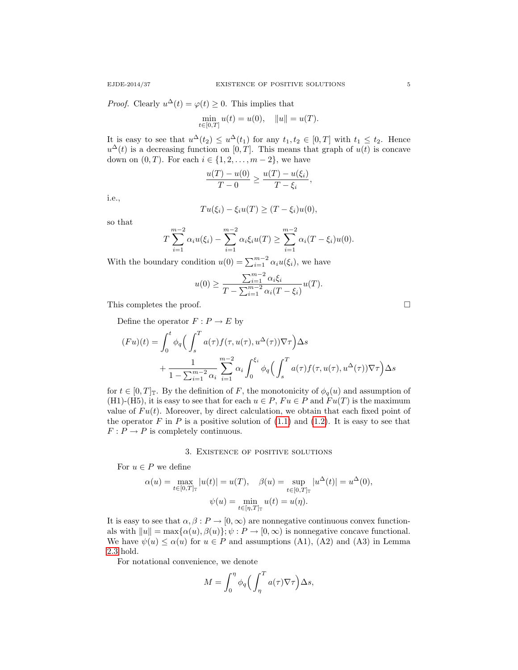*Proof.* Clearly  $u^{\Delta}(t) = \varphi(t) \geq 0$ . This implies that

$$
\min_{t \in [0,T]} u(t) = u(0), \quad ||u|| = u(T).
$$

It is easy to see that  $u^{\Delta}(t_2) \leq u^{\Delta}(t_1)$  for any  $t_1, t_2 \in [0, T]$  with  $t_1 \leq t_2$ . Hence  $u^{\Delta}(t)$  is a decreasing function on [0, T]. This means that graph of  $u(t)$  is concave down on  $(0, T)$ . For each  $i \in \{1, 2, \ldots, m-2\}$ , we have

$$
\frac{u(T) - u(0)}{T - 0} \ge \frac{u(T) - u(\xi_i)}{T - \xi_i},
$$

i.e.,

$$
Tu(\xi_i) - \xi_i u(T) \ge (T - \xi_i)u(0),
$$

so that

$$
T\sum_{i=1}^{m-2} \alpha_i u(\xi_i) - \sum_{i=1}^{m-2} \alpha_i \xi_i u(T) \geq \sum_{i=1}^{m-2} \alpha_i (T - \xi_i) u(0).
$$

With the boundary condition  $u(0) = \sum_{i=1}^{m-2} \alpha_i u(\xi_i)$ , we have

$$
u(0) \ge \frac{\sum_{i=1}^{m-2} \alpha_i \xi_i}{T - \sum_{i=1}^{m-2} \alpha_i (T - \xi_i)} u(T).
$$

This completes the proof.

Define the operator  $F: P \to E$  by

$$
(Fu)(t) = \int_0^t \phi_q \left( \int_s^T a(\tau) f(\tau, u(\tau), u^{\Delta}(\tau)) \nabla \tau \right) \Delta s
$$
  
+ 
$$
\frac{1}{1 - \sum_{i=1}^{m-2} \alpha_i} \sum_{i=1}^{m-2} \alpha_i \int_0^{\xi_i} \phi_q \left( \int_s^T a(\tau) f(\tau, u(\tau), u^{\Delta}(\tau)) \nabla \tau \right) \Delta s
$$

for  $t \in [0, T]_T$ . By the definition of F, the monotonicity of  $\phi_q(u)$  and assumption of (H1)-(H5), it is easy to see that for each  $u \in P$ ,  $Fu \in P$  and  $Fu(T)$  is the maximum value of  $Fu(t)$ . Moreover, by direct calculation, we obtain that each fixed point of the operator F in P is a positive solution of  $(1.1)$  and  $(1.2)$ . It is easy to see that  $F: P \to P$  is completely continuous.

#### 3. Existence of positive solutions

For  $u \in P$  we define

$$
\alpha(u) = \max_{t \in [0,T]_{\mathbb{T}}} |u(t)| = u(T), \quad \beta(u) = \sup_{t \in [0,T]_{\mathbb{T}}} |u^{\Delta}(t)| = u^{\Delta}(0),
$$

$$
\psi(u) = \min_{t \in [\eta,T]_{\mathbb{T}}} u(t) = u(\eta).
$$

It is easy to see that  $\alpha, \beta : P \to [0, \infty)$  are nonnegative continuous convex functionals with  $||u|| = \max{\{\alpha(u), \beta(u)\}}; \psi : P \to [0, \infty)$  is nonnegative concave functional. We have  $\psi(u) \leq \alpha(u)$  for  $u \in P$  and assumptions (A1), (A2) and (A3) in Lemma [2.3](#page-2-1) hold.

For notational convenience, we denote

$$
M = \int_0^{\eta} \phi_q \left( \int_{\eta}^T a(\tau) \nabla \tau \right) \Delta s,
$$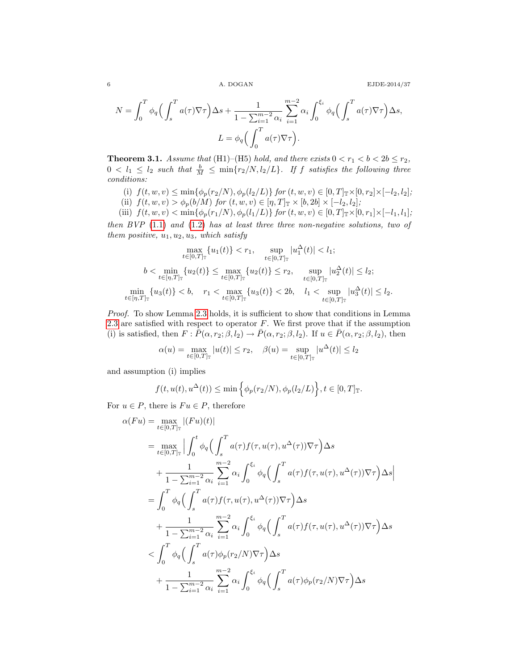6 A. DOGAN EJDE-2014/37

$$
N = \int_0^T \phi_q \left( \int_s^T a(\tau) \nabla \tau \right) \Delta s + \frac{1}{1 - \sum_{i=1}^{m-2} \alpha_i} \sum_{i=1}^{m-2} \alpha_i \int_0^{\xi_i} \phi_q \left( \int_s^T a(\tau) \nabla \tau \right) \Delta s,
$$
  

$$
L = \phi_q \left( \int_0^T a(\tau) \nabla \tau \right).
$$

<span id="page-5-0"></span>**Theorem 3.1.** Assume that (H1)–(H5) hold, and there exists  $0 < r_1 < b < 2b \le r_2$ ,  $0 < l_1 \leq l_2$  such that  $\frac{b}{M} \leq \min\{r_2/N, l_2/L\}$ . If f satisfies the following three conditions:

(i) 
$$
f(t, w, v) \le \min\{\phi_p(r_2/N), \phi_p(l_2/L)\}\
$$
for  $(t, w, v) \in [0, T]_{\mathbb{T}} \times [0, r_2] \times [-l_2, l_2];$   
(ii)  $f(t, w, v) > \phi_p(b/M)$  for  $(t, w, v) \in [\eta, T]_{\mathbb{T}} \times [b, 2b] \times [-l_2, l_2];$ 

(iii)  $f(t, w, v) < \min\{\phi_p(r_1/N), \phi_p(l_1/L)\}\$  for  $(t, w, v) \in [0, T]_{\mathbb{T}} \times [0, r_1] \times [-l_1, l_1]$ ;

then  $BVP$  [\(1.1\)](#page-1-0) and [\(1.2\)](#page-1-1) has at least three three non-negative solutions, two of them positive,  $u_1, u_2, u_3$ , which satisfy

$$
\max_{t \in [0,T]_{\mathbb{T}}} \{u_1(t)\} < r_1, \quad \sup_{t \in [0,T]_{\mathbb{T}}} |u_1^{\Delta}(t)| < l_1;
$$
\n
$$
b < \min_{t \in [\eta,T]_{\mathbb{T}}} \{u_2(t)\} \le \max_{t \in [0,T]_{\mathbb{T}}} \{u_2(t)\} \le r_2, \quad \sup_{t \in [0,T]_{\mathbb{T}}} |u_2^{\Delta}(t)| \le l_2;
$$
\n
$$
\min_{t \in [\eta,T]_{\mathbb{T}}} \{u_3(t)\} < b, \quad r_1 < \max_{t \in [0,T]_{\mathbb{T}}} \{u_3(t)\} < 2b, \quad l_1 < \sup_{t \in [0,T]_{\mathbb{T}}} |u_3^{\Delta}(t)| \le l_2.
$$

Proof. To show Lemma [2.3](#page-2-1) holds, it is sufficient to show that conditions in Lemma [2.3](#page-2-1) are satisfied with respect to operator  $F$ . We first prove that if the assumption (i) is satisfied, then  $F : \overline{P}(\alpha, r_2; \beta, l_2) \rightarrow \overline{P}(\alpha, r_2; \beta, l_2)$ . If  $u \in \overline{P}(\alpha, r_2; \beta, l_2)$ , then

$$
\alpha(u) = \max_{t \in [0,T]_{\mathbb{T}}} |u(t)| \le r_2, \quad \beta(u) = \sup_{t \in [0,T]_{\mathbb{T}}} |u^{\Delta}(t)| \le l_2
$$

and assumption (i) implies

$$
f(t, u(t), u^{\Delta}(t)) \le \min\left\{\phi_p(r_2/N), \phi_p(l_2/L)\right\}, t \in [0, T]_{\mathbb{T}}.
$$

For  $u \in P$ , there is  $Fu \in P$ , therefore

$$
\alpha(Fu) = \max_{t \in [0,T]_{\mathbb{T}}} |(Fu)(t)|
$$
  
\n
$$
= \max_{t \in [0,T]_{\mathbb{T}}} \Big| \int_0^t \phi_q \Big( \int_s^T a(\tau) f(\tau, u(\tau), u^{\Delta}(\tau)) \nabla \tau \Big) \Delta s
$$
  
\n
$$
+ \frac{1}{1 - \sum_{i=1}^{m-2} \alpha_i} \sum_{i=1}^{m-2} \alpha_i \int_0^{\xi_i} \phi_q \Big( \int_s^T a(\tau) f(\tau, u(\tau), u^{\Delta}(\tau)) \nabla \tau \Big) \Delta s \Big|
$$
  
\n
$$
= \int_0^T \phi_q \Big( \int_s^T a(\tau) f(\tau, u(\tau), u^{\Delta}(\tau)) \nabla \tau \Big) \Delta s
$$
  
\n
$$
+ \frac{1}{1 - \sum_{i=1}^{m-2} \alpha_i} \sum_{i=1}^{m-2} \alpha_i \int_0^{\xi_i} \phi_q \Big( \int_s^T a(\tau) f(\tau, u(\tau), u^{\Delta}(\tau)) \nabla \tau \Big) \Delta s
$$
  
\n
$$
< \int_0^T \phi_q \Big( \int_s^T a(\tau) \phi_p(r_2/N) \nabla \tau \Big) \Delta s
$$
  
\n
$$
+ \frac{1}{1 - \sum_{i=1}^{m-2} \alpha_i} \sum_{i=1}^{m-2} \alpha_i \int_0^{\xi_i} \phi_q \Big( \int_s^T a(\tau) \phi_p(r_2/N) \nabla \tau \Big) \Delta s
$$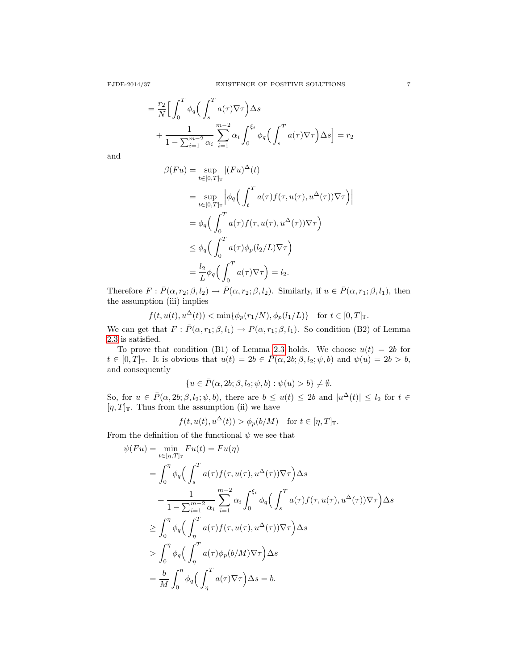$$
= \frac{r_2}{N} \Big[ \int_0^T \phi_q \Big( \int_s^T a(\tau) \nabla \tau \Big) \Delta s
$$
  
+ 
$$
\frac{1}{1 - \sum_{i=1}^{m-2} \alpha_i} \sum_{i=1}^{m-2} \alpha_i \int_0^{\xi_i} \phi_q \Big( \int_s^T a(\tau) \nabla \tau \Big) \Delta s \Big] = r_2
$$

and

$$
\beta(Fu) = \sup_{t \in [0,T]_{\mathbb{T}}} |(Fu)^{\Delta}(t)|
$$
  
\n
$$
= \sup_{t \in [0,T]_{\mathbb{T}}} \left| \phi_q \left( \int_t^T a(\tau) f(\tau, u(\tau), u^{\Delta}(\tau)) \nabla \tau \right) \right|
$$
  
\n
$$
= \phi_q \left( \int_0^T a(\tau) f(\tau, u(\tau), u^{\Delta}(\tau)) \nabla \tau \right)
$$
  
\n
$$
\leq \phi_q \left( \int_0^T a(\tau) \phi_p(l_2/L) \nabla \tau \right)
$$
  
\n
$$
= \frac{l_2}{L} \phi_q \left( \int_0^T a(\tau) \nabla \tau \right) = l_2.
$$

Therefore  $F : \overline{P}(\alpha, r_2; \beta, l_2) \to \overline{P}(\alpha, r_2; \beta, l_2)$ . Similarly, if  $u \in \overline{P}(\alpha, r_1; \beta, l_1)$ , then the assumption (iii) implies

$$
f(t, u(t), u^{\Delta}(t)) < \min\{\phi_p(r_1/N), \phi_p(l_1/L)\} \quad \text{for } t \in [0, T]_{\mathbb{T}}.
$$

We can get that  $F : \overline{P}(\alpha, r_1; \beta, l_1) \rightarrow P(\alpha, r_1; \beta, l_1)$ . So condition (B2) of Lemma [2.3](#page-2-1) is satisfied.

To prove that condition (B1) of Lemma [2.3](#page-2-1) holds. We choose  $u(t) = 2b$  for  $t \in [0,T]_{\mathbb{T}}$ . It is obvious that  $u(t) = 2b \in \overline{P}(\alpha, 2b; \beta, l_2; \psi, b)$  and  $\psi(u) = 2b > b$ , and consequently

$$
\{u\in \bar{P}(\alpha,2b;\beta,l_2;\psi,b):\psi(u)>b\}\neq \emptyset.
$$

So, for  $u \in \bar{P}(\alpha, 2b; \beta, l_2; \psi, b)$ , there are  $b \leq u(t) \leq 2b$  and  $|u^{\Delta}(t)| \leq l_2$  for  $t \in$  $[\eta, T]_{\mathbb{T}}$ . Thus from the assumption (ii) we have

$$
f(t, u(t), u^{\Delta}(t)) > \phi_p(b/M)
$$
 for  $t \in [\eta, T]_{\mathbb{T}}$ .

From the definition of the functional  $\psi$  we see that

$$
\psi(Fu) = \min_{t \in [\eta, T]_{\mathbb{T}}} Fu(t) = Fu(\eta)
$$
  
\n
$$
= \int_0^{\eta} \phi_q \Big( \int_s^T a(\tau) f(\tau, u(\tau), u^{\Delta}(\tau)) \nabla \tau \Big) \Delta s
$$
  
\n
$$
+ \frac{1}{1 - \sum_{i=1}^{m-2} \alpha_i} \sum_{i=1}^{m-2} \alpha_i \int_0^{\xi_i} \phi_q \Big( \int_s^T a(\tau) f(\tau, u(\tau), u^{\Delta}(\tau)) \nabla \tau \Big) \Delta s
$$
  
\n
$$
\geq \int_0^{\eta} \phi_q \Big( \int_{\eta}^T a(\tau) f(\tau, u(\tau), u^{\Delta}(\tau)) \nabla \tau \Big) \Delta s
$$
  
\n
$$
> \int_0^{\eta} \phi_q \Big( \int_{\eta}^T a(\tau) \phi_p(b/M) \nabla \tau \Big) \Delta s
$$
  
\n
$$
= \frac{b}{M} \int_0^{\eta} \phi_q \Big( \int_{\eta}^T a(\tau) \nabla \tau \Big) \Delta s = b.
$$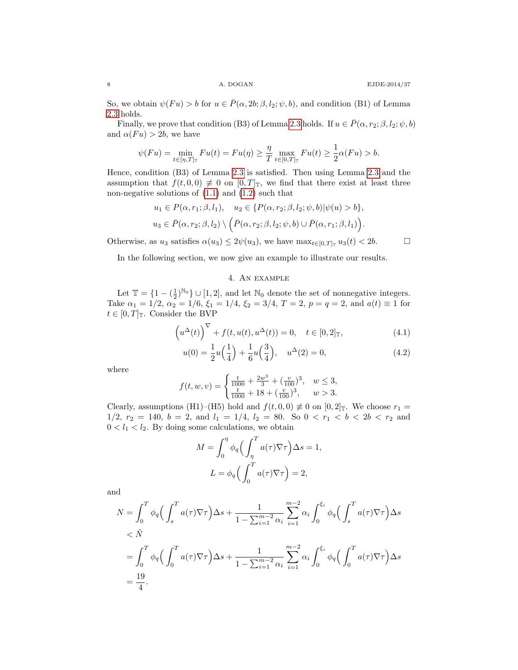So, we obtain  $\psi(Fu) > b$  for  $u \in \overline{P}(\alpha, 2b; \beta, l_2; \psi, b)$ , and condition (B1) of Lemma [2.3](#page-2-1) holds.

Finally, we prove that condition (B3) of Lemma [2.3](#page-2-1) holds. If  $u \in \overline{P}(\alpha, r_2; \beta, l_2; \psi, b)$ and  $\alpha(Fu) > 2b$ , we have

$$
\psi(Fu) = \min_{t \in [\eta, T]_{\mathbb{T}}} Fu(t) = Fu(\eta) \ge \frac{\eta}{T} \max_{t \in [0, T]_{\mathbb{T}}} Fu(t) \ge \frac{1}{2}\alpha(Fu) > b.
$$

Hence, condition (B3) of Lemma [2.3](#page-2-1) is satisfied. Then using Lemma [2.3](#page-2-1) and the assumption that  $f(t, 0, 0) \neq 0$  on  $[0, T]_T$ , we find that there exist at least three non-negative solutions of [\(1.1\)](#page-1-0) and [\(1.2\)](#page-1-1) such that

$$
u_1 \in P(\alpha, r_1; \beta, l_1), \quad u_2 \in \{P(\alpha, r_2; \beta, l_2; \psi, b) | \psi(u) > b\},
$$
  

$$
u_3 \in \bar{P}(\alpha, r_2; \beta, l_2) \setminus (\bar{P}(\alpha, r_2; \beta, l_2; \psi, b) \cup \bar{P}(\alpha, r_1; \beta, l_1)).
$$

Otherwise, as  $u_3$  satisfies  $\alpha(u_3) \leq 2\psi(u_3)$ , we have  $\max_{t \in [0,T]_T} u_3(t) < 2b$ .

In the following section, we now give an example to illustrate our results.

# <span id="page-7-1"></span><span id="page-7-0"></span>4. An example

Let  $\mathbb{T} = \{1 - (\frac{1}{2})^{\mathbb{N}_0}\} \cup [1, 2]$ , and let  $\mathbb{N}_0$  denote the set of nonnegative integers. Take  $\alpha_1 = 1/2$ ,  $\alpha_2 = 1/6$ ,  $\xi_1 = 1/4$ ,  $\xi_2 = 3/4$ ,  $T = 2$ ,  $p = q = 2$ , and  $a(t) \equiv 1$  for  $t \in [0, T]_{\mathbb{T}}$ . Consider the BVP

$$
\left(u^{\Delta}(t)\right)^{\nabla} + f(t, u(t), u^{\Delta}(t)) = 0, \quad t \in [0, 2]_{\mathbb{T}},\tag{4.1}
$$

$$
u(0) = \frac{1}{2}u\left(\frac{1}{4}\right) + \frac{1}{6}u\left(\frac{3}{4}\right), \quad u^{\Delta}(2) = 0,
$$
\n(4.2)

where

$$
f(t, w, v) = \begin{cases} \frac{t}{1000} + \frac{2w^3}{3} + (\frac{v}{100})^3, & w \le 3, \\ \frac{t}{1000} + 18 + (\frac{v}{100})^3, & w > 3. \end{cases}
$$

Clearly, assumptions (H1)–(H5) hold and  $f(t, 0, 0) \neq 0$  on  $[0, 2]$ <sub>T</sub>. We choose  $r_1$  =  $1/2$ ,  $r_2 = 140$ ,  $b = 2$ , and  $l_1 = 1/4$ ,  $l_2 = 80$ . So  $0 < r_1 < b < 2b < r_2$  and  $0 < l_1 < l_2$ . By doing some calculations, we obtain

$$
M = \int_0^{\eta} \phi_q \left( \int_{\eta}^T a(\tau) \nabla \tau \right) \Delta s = 1,
$$
  

$$
L = \phi_q \left( \int_0^T a(\tau) \nabla \tau \right) = 2,
$$

and

$$
N = \int_0^T \phi_q \left( \int_s^T a(\tau) \nabla \tau \right) \Delta s + \frac{1}{1 - \sum_{i=1}^{m-2} \alpha_i} \sum_{i=1}^{m-2} \alpha_i \int_0^{\xi_i} \phi_q \left( \int_s^T a(\tau) \nabla \tau \right) \Delta s
$$
  

$$
< \tilde{N}
$$
  

$$
= \int_0^T \phi_q \left( \int_0^T a(\tau) \nabla \tau \right) \Delta s + \frac{1}{1 - \sum_{i=1}^{m-2} \alpha_i} \sum_{i=1}^{m-2} \alpha_i \int_0^{\xi_i} \phi_q \left( \int_0^T a(\tau) \nabla \tau \right) \Delta s
$$
  

$$
= \frac{19}{4}.
$$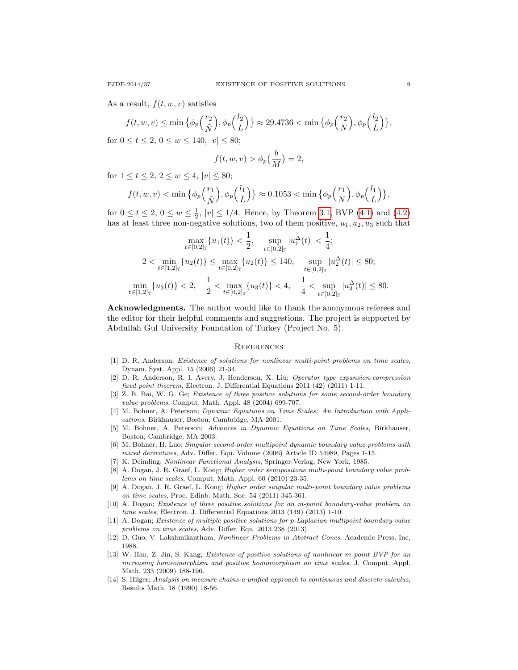As a result,  $f(t, w, v)$  satisfies

$$
f(t, w, v) \le \min\left\{\phi_p\left(\frac{r_2}{\tilde{N}}\right), \phi_p\left(\frac{l_2}{L}\right)\right\} \approx 29.4736 < \min\left\{\phi_p\left(\frac{r_2}{N}\right), \phi_p\left(\frac{l_2}{L}\right)\right\},\
$$

for  $0 \le t \le 2, 0 \le w \le 140, |v| \le 80;$ 

$$
f(t, w, v) > \phi_p\left(\frac{b}{M}\right) = 2,
$$

for  $1 \le t \le 2$ ,  $2 \le w \le 4$ ,  $|v| \le 80$ ;

$$
f(t, w, v) < \min\left\{\phi_p\left(\frac{r_1}{\tilde{N}}\right), \phi_p\left(\frac{l_1}{L}\right)\right\} \approx 0.1053 < \min\left\{\phi_p\left(\frac{r_1}{N}\right), \phi_p\left(\frac{l_1}{L}\right)\right\},\
$$

for  $0 \le t \le 2$ ,  $0 \le w \le \frac{1}{2}$ ,  $|v| \le 1/4$ . Hence, by Theorem [3.1,](#page-5-0) BVP [\(4.1\)](#page-7-0) and [\(4.2\)](#page-7-1) has at least three non-negative solutions, two of them positive,  $u_1, u_2, u_3$  such that

$$
\max_{t \in [0,2]_{\mathbb{T}}} \{u_1(t)\} < \frac{1}{2}, \quad \sup_{t \in [0,2]_{\mathbb{T}}} |u_1^{\Delta}(t)| < \frac{1}{4};
$$
\n
$$
2 < \min_{t \in [1,2]_{\mathbb{T}}} \{u_2(t)\} \le \max_{t \in [0,2]_{\mathbb{T}}} \{u_2(t)\} \le 140, \quad \sup_{t \in [0,2]_{\mathbb{T}}} |u_2^{\Delta}(t)| \le 80;
$$
\n
$$
\min_{t \in [1,2]_{\mathbb{T}}} \{u_3(t)\} < 2, \quad \frac{1}{2} < \max_{t \in [0,2]_{\mathbb{T}}} \{u_3(t)\} < 4, \quad \frac{1}{4} < \sup_{t \in [0,2]_{\mathbb{T}}} |u_3^{\Delta}(t)| \le 80.
$$

Acknowledgments. The author would like to thank the anonymous referees and the editor for their helpful comments and suggestions. The project is supported by Abdullah Gul University Foundation of Turkey (Project No. 5).

## **REFERENCES**

- <span id="page-8-1"></span>[1] D. R. Anderson; Existence of solutions for nonlinear multi-point problems on time scales, Dynam. Syst. Appl. 15 (2006) 21-34.
- <span id="page-8-8"></span>[2] D. R. Anderson, R. I. Avery, J. Henderson, X. Liu; Operator type expansion-compression fixed point theorem, Electron. J. Differential Equations 2011 (42) (2011) 1-11.
- <span id="page-8-13"></span>[3] Z. B. Bai, W. G. Ge; Existence of three positive solutions for some second-order boundary value problems, Comput. Math. Appl. 48 (2004) 699-707.
- <span id="page-8-9"></span>[4] M. Bohner, A. Peterson; Dynamic Equations on Time Scales: An Introduction with Applications, Birkhauser, Boston, Cambridge, MA 2001.
- <span id="page-8-10"></span>[5] M. Bohner, A. Peterson; Advances in Dynamic Equations on Time Scales, Birkhauser, Boston, Cambridge, MA 2003.
- <span id="page-8-2"></span>[6] M. Bohner, H. Luo; Singular second-order multipoint dynamic boundary value problems with mixed derivatives, Adv. Differ. Equ. Volume (2006) Article ID 54989, Pages 1-15.
- <span id="page-8-11"></span>[7] K. Deimling; Nonlinear Functional Analysis, Springer-Verlag, New York, 1985.
- <span id="page-8-3"></span>[8] A. Dogan, J. R. Graef, L. Kong; Higher order semipositone multi-point boundary value problems on time scales, Comput. Math. Appl. 60 (2010) 23-35.
- <span id="page-8-4"></span>[9] A. Dogan, J. R. Graef, L. Kong; Higher order singular multi-point boundary value problems on time scales, Proc. Edinb. Math. Soc. 54 (2011) 345-361.
- <span id="page-8-5"></span>[10] A. Dogan; Existence of three positive solutions for an m-point boundary-value problem on time scales, Electron. J. Differential Equations 2013 (149) (2013) 1-10.
- <span id="page-8-7"></span>[11] A. Dogan; Existence of multiple positive solutions for p-Laplacian multipoint boundary value problems on time scales, Adv. Differ. Equ. 2013 238 (2013).
- <span id="page-8-12"></span>[12] D. Guo, V. Lakshmikantham; Nonlinear Problems in Abstract Cones, Academic Press, Inc, 1988.
- <span id="page-8-6"></span>[13] W. Han, Z. Jin, S. Kang; Existence of positive solutions of nonlinear m-point BVP for an increasing homeomorphism and positive homomorphism on time scales, J. Comput. Appl. Math. 233 (2009) 188-196.
- <span id="page-8-0"></span>[14] S. Hilger; Analysis on measure chains-a unified approach to continuous and discrete calculus, Results Math. 18 (1990) 18-56.